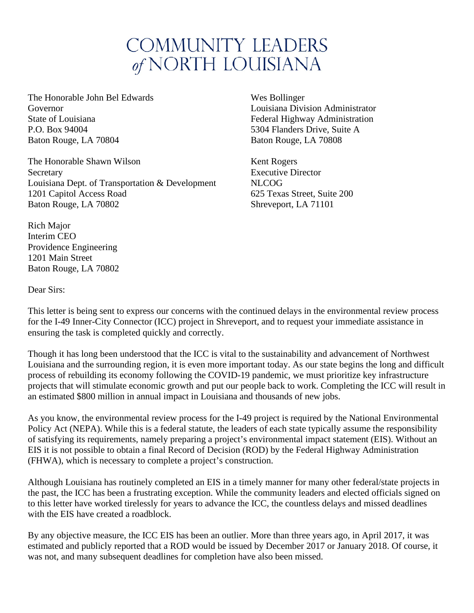## **COMMUNITY LEADERS** of NORTH LOUISIANA

The Honorable John Bel Edwards Wes Bollinger Governor Louisiana Division Administrator State of Louisiana Federal Highway Administration P.O. Box 94004 5304 Flanders Drive, Suite A Baton Rouge, LA 70804 Baton Rouge, LA 70808

The Honorable Shawn Wilson Kent Rogers Secretary **Executive Director** Executive Director Louisiana Dept. of Transportation & Development NLCOG 1201 Capitol Access Road 625 Texas Street, Suite 200 Baton Rouge, LA 70802 Shreveport, LA 71101

Rich Major Interim CEO Providence Engineering 1201 Main Street Baton Rouge, LA 70802

Dear Sirs:

This letter is being sent to express our concerns with the continued delays in the environmental review process for the I-49 Inner-City Connector (ICC) project in Shreveport, and to request your immediate assistance in ensuring the task is completed quickly and correctly.

Though it has long been understood that the ICC is vital to the sustainability and advancement of Northwest Louisiana and the surrounding region, it is even more important today. As our state begins the long and difficult process of rebuilding its economy following the COVID-19 pandemic, we must prioritize key infrastructure projects that will stimulate economic growth and put our people back to work. Completing the ICC will result in an estimated \$800 million in annual impact in Louisiana and thousands of new jobs.

As you know, the environmental review process for the I-49 project is required by the National Environmental Policy Act (NEPA). While this is a federal statute, the leaders of each state typically assume the responsibility of satisfying its requirements, namely preparing a project's environmental impact statement (EIS). Without an EIS it is not possible to obtain a final Record of Decision (ROD) by the Federal Highway Administration (FHWA), which is necessary to complete a project's construction.

Although Louisiana has routinely completed an EIS in a timely manner for many other federal/state projects in the past, the ICC has been a frustrating exception. While the community leaders and elected officials signed on to this letter have worked tirelessly for years to advance the ICC, the countless delays and missed deadlines with the EIS have created a roadblock.

By any objective measure, the ICC EIS has been an outlier. More than three years ago, in April 2017, it was estimated and publicly reported that a ROD would be issued by December 2017 or January 2018. Of course, it was not, and many subsequent deadlines for completion have also been missed.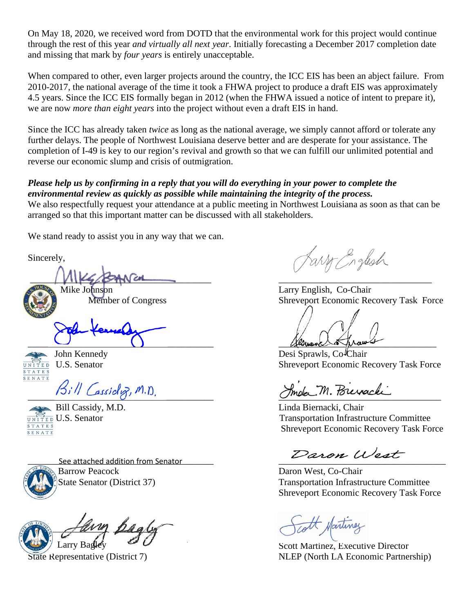On May 18, 2020, we received word from DOTD that the environmental work for this project would continue through the rest of this year *and virtually all next year*. Initially forecasting a December 2017 completion date and missing that mark by *four years* is entirely unacceptable.

When compared to other, even larger projects around the country, the ICC EIS has been an abject failure. From 2010-2017, the national average of the time it took a FHWA project to produce a draft EIS was approximately 4.5 years. Since the ICC EIS formally began in 2012 (when the FHWA issued a notice of intent to prepare it), we are now *more than eight years* into the project without even a draft EIS in hand.

Since the ICC has already taken *twice* as long as the national average, we simply cannot afford or tolerate any further delays. The people of Northwest Louisiana deserve better and are desperate for your assistance. The completion of I-49 is key to our region's revival and growth so that we can fulfill our unlimited potential and reverse our economic slump and crisis of outmigration.

## *Please help us by confirming in a reply that you will do everything in your power to complete the environmental review as quickly as possible while maintaining the integrity of the process.*

We also respectfully request your attendance at a public meeting in Northwest Louisiana as soon as that can be arranged so that this important matter can be discussed with all stakeholders.

We stand ready to assist you in any way that we can.

Sincerely,

 $\frac{1}{2}$ Mike Johnson Larry English, Co-Chair

 $\mu$  and  $\mu$  and  $\mu$  and  $\mu$ 



Ķ





Let the See attached addition from Senator the Contract of the See attached addition from Senator **Barrow Peacock** 

any pagly Larry Bastley

Farry English

Member of Congress Shreveport Economic Recovery Task Force

John Kennedy Desi Sprawls, Co<sup>l</sup>Chair  $\overline{UNITED}$  U.S. Senator Shreveport Economic Recovery Task Force

Bill Cassicloz, M.D. Smoke M. Poierachi

 Bill Cassidy, M.D. Linda Biernacki, Chair  $\frac{\overbrace{\text{unif}}}{\text{S} \text{I} \text{A} \text{I} \text{E}}$  U.S. Senator U.S. Senator  $\frac{\overbrace{\text{unif}}}{\text{S} \text{A} \text{I} \text{E}}$  U.S. Senator Shreveport Economic Recovery Task Force

Daron West, Co-Chair State Senator (District 37) Transportation Infrastructure Committee Shreveport Economic Recovery Task Force

rott Martine

Scott Martinez, Executive Director State Representative (District 7) NLEP (North LA Economic Partnership)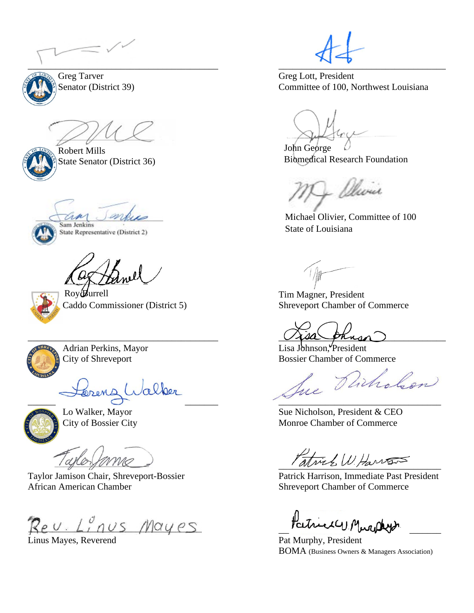$\mathcal{L}_\mathcal{A}$  , and the contribution of the contribution of the contribution of the contribution of the contribution of the contribution of the contribution of the contribution of the contribution of the contribution of



Greg Tarver Greg Lott, President



 Robert Mills State Senator (District 36)

Sam Jenkins State Representative (District 2)



Roy Burrell



\_\_\_\_\_\_\_\_\_\_\_\_\_\_\_\_\_\_\_\_\_\_\_\_\_\_\_\_\_\_\_\_\_\_\_\_\_\_\_\_\_ \_\_\_\_\_\_\_\_\_\_\_\_\_\_\_\_\_\_\_\_\_\_\_\_\_\_\_\_\_\_\_\_\_\_\_



Taylor Jamison Chair, Shreveport-Bossier Patrick Harrison, Immediate Past President African American Chamber Shreveport Chamber Shreveport Chamber of Commerce

Reu. Linus Mayes Patrick Murphys.

Linus Mayes, Reverend Pat Murphy, President

Senator (District 39) Committee of 100, Northwest Louisiana

John George Biomedical Research Foundation

- Olivia

Michael Olivier, Committee of 100 State of Louisiana

 Tim Magner, President Caddo Commissioner (District 5) Shreveport Chamber of Commerce

 $\vee$   $\vee$   $\vee$   $\vee$   $\vee$   $\vee$   $\vee$   $\vee$   $\vee$   $\vee$   $\vee$   $\vee$   $\vee$   $\vee$   $\vee$   $\vee$   $\vee$   $\vee$   $\vee$   $\vee$   $\vee$   $\vee$   $\vee$   $\vee$   $\vee$   $\vee$   $\vee$   $\vee$   $\vee$   $\vee$   $\vee$   $\vee$   $\vee$   $\vee$   $\vee$   $\vee$   $\vee$ 

Adrian Perkins, Mayor Lisa Johnson, President

City of Shreveport<br>Bossier Chamber of Commerce<br>And Charles Particular

Lo Walker, Mayor Sue Nicholson, President & CEO City of Bossier City Monroe Chamber of Commerce

Patrick W. Harrison

BOMA (Business Owners & Managers Association)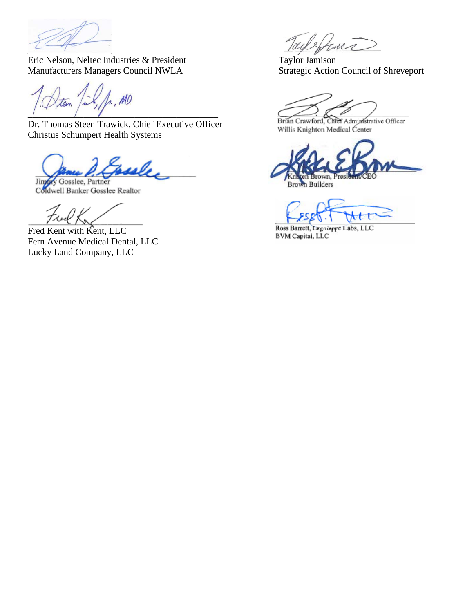

Eric Nelson, Neltec Industries & President Taylor Jamison<br>
Manufacturers Managers Council NWLA<br>
Strategic Action Council of Shreveport Manufacturers Managers Council NWLA

L. MO teen  $\frac{1}{2}$  ,  $\frac{1}{2}$  ,  $\frac{1}{2}$  ,  $\frac{1}{2}$  ,  $\frac{1}{2}$  ,  $\frac{1}{2}$  ,  $\frac{1}{2}$  ,  $\frac{1}{2}$  ,  $\frac{1}{2}$  ,  $\frac{1}{2}$  ,  $\frac{1}{2}$  ,  $\frac{1}{2}$  ,  $\frac{1}{2}$  ,  $\frac{1}{2}$  ,  $\frac{1}{2}$  ,  $\frac{1}{2}$  ,  $\frac{1}{2}$  ,  $\frac{1}{2}$  ,  $\frac{1$ 

Dr. Thomas Steen Trawick, Chief Executive Officer Christus Schumpert Health Systems

sele

Jingory Gosslee, Partner Coldwell Banker Gosslee Realtor

Fred Kent with Kent, LLC Fern Avenue Medical Dental, LLC Lucky Land Company, LLC

Sura

Brian Crawford, Chief Administrative Officer Willis Knighton Medical Center

ten Brown, President/CEC

**Brown Builders** 

₩ŧ

Ross Barrett, Lugniarre Labs, LLC **BVM Capital**, LLC